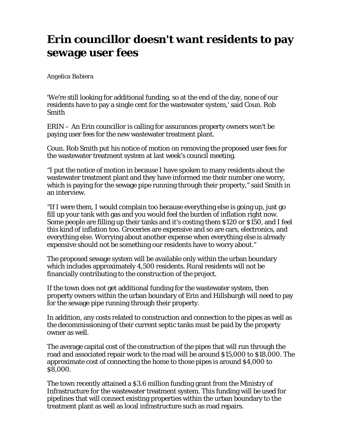## **Erin councillor doesn't want residents to pay sewage user fees**

## *Angelica Babiera*

'We're still looking for additional funding, so at the end of the day, none of our residents have to pay a single cent for the wastewater system,' said Coun. Rob Smith

ERIN – An Erin councillor is calling for assurances property owners won't be paying user fees for the new wastewater treatment plant.

Coun. Rob Smith put his notice of motion on removing the proposed user fees for the wastewater treatment system at last week's council meeting.

"I put the notice of motion in because I have spoken to many residents about the wastewater treatment plant and they have informed me their number one worry, which is paying for the sewage pipe running through their property," said Smith in an interview.

"If I were them, I would complain too because everything else is going up, just go fill up your tank with gas and you would feel the burden of inflation right now. Some people are filling up their tanks and it's costing them \$120 or \$150, and I feel this kind of inflation too. Groceries are expensive and so are cars, electronics, and everything else. Worrying about another expense when everything else is already expensive should not be something our residents have to worry about."

The proposed sewage system will be available only within the urban boundary which includes approximately 4,500 residents. Rural residents will not be financially contributing to the construction of the project.

If the town does not get additional funding for the wastewater system, then property owners within the urban boundary of Erin and Hillsburgh will need to pay for the sewage pipe running through their property.

In addition, any costs related to construction and connection to the pipes as well as the decommissioning of their current septic tanks must be paid by the property owner as well.

The average capital cost of the construction of the pipes that will run through the road and associated repair work to the road will be around \$15,000 to \$18,000. The approximate cost of connecting the home to those pipes is around \$4,000 to \$8,000.

The town recently attained a \$3.6 million funding grant from the Ministry of Infrastructure for the wastewater treatment system. This funding will be used for pipelines that will connect existing properties within the urban boundary to the treatment plant as well as local infrastructure such as road repairs.